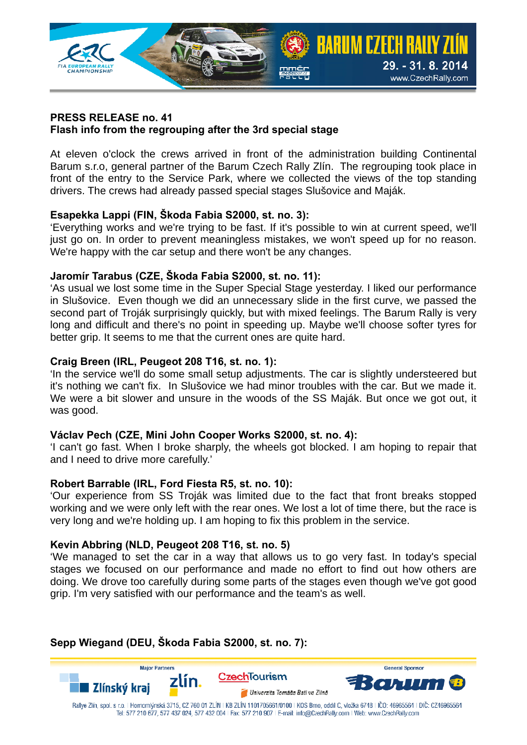

#### **PRESS RELEASE no. 41 Flash info from the regrouping after the 3rd special stage**

At eleven o'clock the crews arrived in front of the administration building Continental Barum s.r.o, general partner of the Barum Czech Rally Zlín. The regrouping took place in front of the entry to the Service Park, where we collected the views of the top standing drivers. The crews had already passed special stages Slušovice and Maják.

# **Esapekka Lappi (FIN, Škoda Fabia S2000, st. no. 3):**

'Everything works and we're trying to be fast. If it's possible to win at current speed, we'll just go on. In order to prevent meaningless mistakes, we won't speed up for no reason. We're happy with the car setup and there won't be any changes.

# **Jaromír Tarabus (CZE, Škoda Fabia S2000, st. no. 11):**

'As usual we lost some time in the Super Special Stage yesterday. I liked our performance in Slušovice. Even though we did an unnecessary slide in the first curve, we passed the second part of Troják surprisingly quickly, but with mixed feelings. The Barum Rally is very long and difficult and there's no point in speeding up. Maybe we'll choose softer tyres for better grip. It seems to me that the current ones are quite hard.

## **Craig Breen (IRL, Peugeot 208 T16, st. no. 1):**

'In the service we'll do some small setup adjustments. The car is slightly understeered but it's nothing we can't fix. In Slušovice we had minor troubles with the car. But we made it. We were a bit slower and unsure in the woods of the SS Maják. But once we got out, it was good.

### **Václav Pech (CZE, Mini John Cooper Works S2000, st. no. 4):**

'I can't go fast. When I broke sharply, the wheels got blocked. I am hoping to repair that and I need to drive more carefully.'

### **Robert Barrable (IRL, Ford Fiesta R5, st. no. 10):**

'Our experience from SS Troják was limited due to the fact that front breaks stopped working and we were only left with the rear ones. We lost a lot of time there, but the race is very long and we're holding up. I am hoping to fix this problem in the service.

### **Kevin Abbring (NLD, Peugeot 208 T16, st. no. 5)**

'We managed to set the car in a way that allows us to go very fast. In today's special stages we focused on our performance and made no effort to find out how others are doing. We drove too carefully during some parts of the stages even though we've got good grip. I'm very satisfied with our performance and the team's as well.

# **Sepp Wiegand (DEU, Škoda Fabia S2000, st. no. 7):**